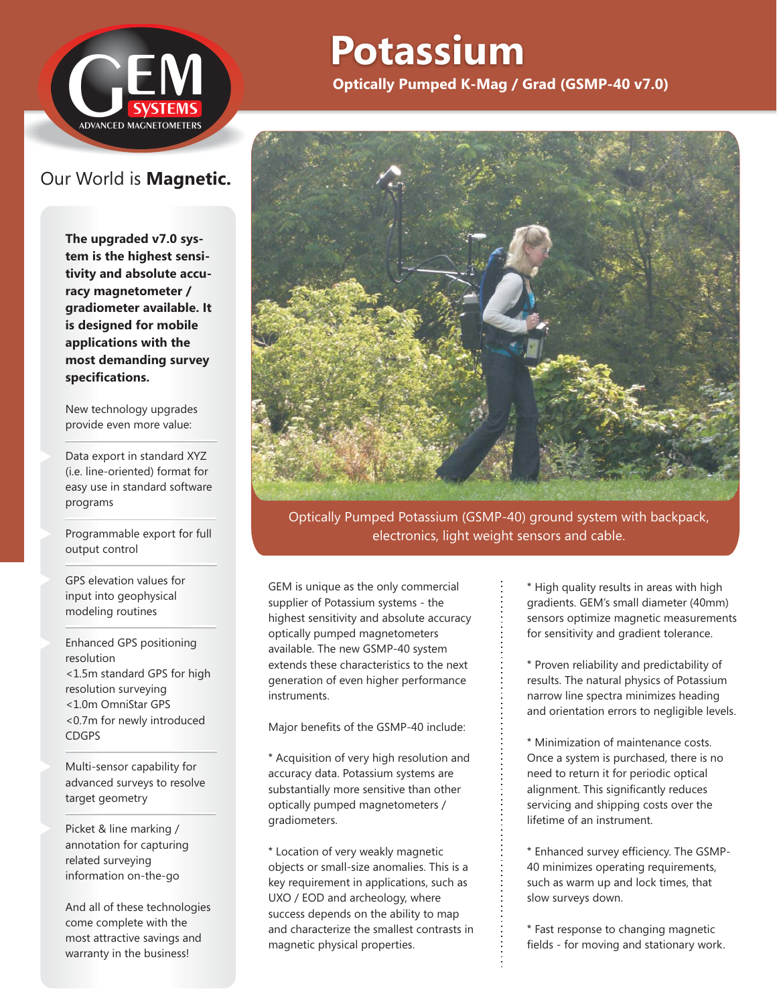

# Our World is **Magnetic.**

**The upgraded v7.0 system is the highest sensitivity and absolute accuracy magnetometer / gradiometer available. It is designed for mobile applications with the most demanding survey specifications.**

New technology upgrades provide even more value:

Data export in standard XYZ (i.e. line-oriented) format for easy use in standard software programs

Programmable export for full output control

GPS elevation values for input into geophysical modeling routines

Enhanced GPS positioning resolution <1.5m standard GPS for high resolution surveying <1.0m OmniStar GPS <0.7m for newly introduced CDGPS

Multi-sensor capability for advanced surveys to resolve target geometry

Picket & line marking / annotation for capturing related surveying information on-the-go

And all of these technologies come complete with the most attractive savings and warranty in the business!

# **Potassium**

**Optically Pumped K-Mag / Grad (GSMP-40 v7.0)**



Optically Pumped Potassium (GSMP-40) ground system with backpack, electronics, light weight sensors and cable.

GEM is unique as the only commercial supplier of Potassium systems - the highest sensitivity and absolute accuracy optically pumped magnetometers available. The new GSMP-40 system extends these characteristics to the next generation of even higher performance instruments.

Major benefits of the GSMP-40 include:

Acquisition of very high resolution and accuracy data. Potassium systems are substantially more sensitive than other optically pumped magnetometers / gradiometers.

Location of very weakly magnetic objects or small-size anomalies. This is a key requirement in applications, such as UXO / EOD and archeology, where success depends on the ability to map and characterize the smallest contrasts in magnetic physical properties.

 $^{\star}$  High quality results in areas with high gradients. GEM's small diameter (40mm) sensors optimize magnetic measurements for sensitivity and gradient tolerance.

 Proven reliability and predictability of results. The natural physics of Potassium narrow line spectra minimizes heading and orientation errors to negligible levels.

 Minimization of maintenance costs. Once a system is purchased, there is no need to return it for periodic optical alignment. This significantly reduces servicing and shipping costs over the lifetime of an instrument.

 Enhanced survey efficiency. The GSMP-40 minimizes operating requirements, such as warm up and lock times, that slow surveys down.

\* Fast response to changing magnetic fields - for moving and stationary work.